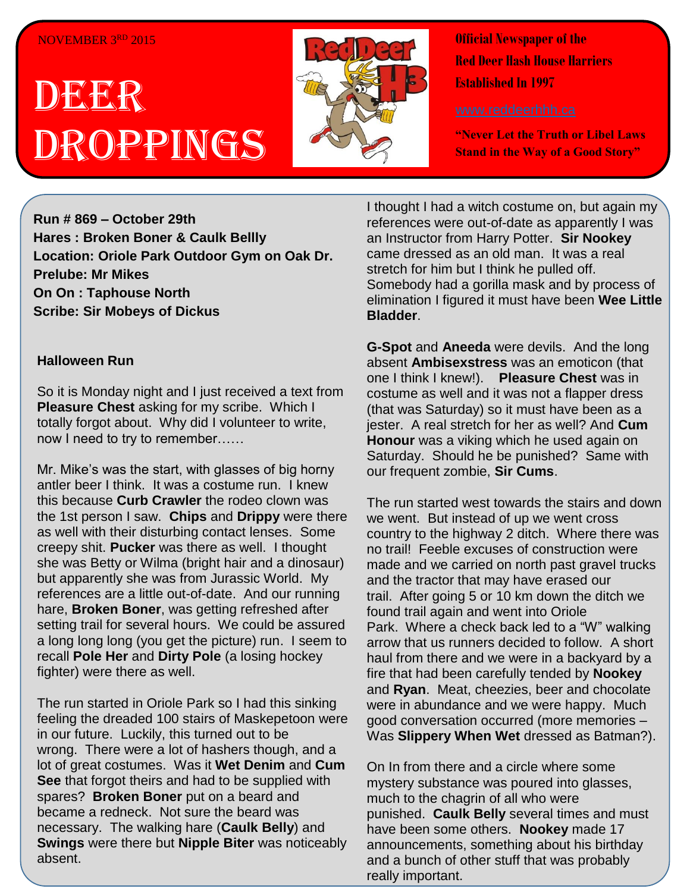## NOVEMBER 3RD 2015

# DEER Droppings



**Official Newspaper of the Red Deer Hash House Harriers Established In 1997** 

**"Never Let the Truth or Libel Laws Stand in the Way of a Good Story"**

**Run # 869 – October 29th Hares : Broken Boner & Caulk Bellly Location: Oriole Park Outdoor Gym on Oak Dr. Prelube: Mr Mikes On On : Taphouse North Scribe: Sir Mobeys of Dickus**

## **Halloween Run**

So it is Monday night and I just received a text from **Pleasure Chest** asking for my scribe. Which I totally forgot about. Why did I volunteer to write, now I need to try to remember……

Mr. Mike's was the start, with glasses of big horny antler beer I think. It was a costume run. I knew this because **Curb Crawler** the rodeo clown was the 1st person I saw. **Chips** and **Drippy** were there as well with their disturbing contact lenses. Some creepy shit. **Pucker** was there as well. I thought she was Betty or Wilma (bright hair and a dinosaur) but apparently she was from Jurassic World. My references are a little out-of-date. And our running hare, **Broken Boner**, was getting refreshed after setting trail for several hours. We could be assured a long long long (you get the picture) run. I seem to recall **Pole Her** and **Dirty Pole** (a losing hockey fighter) were there as well.

The run started in Oriole Park so I had this sinking feeling the dreaded 100 stairs of Maskepetoon were in our future. Luckily, this turned out to be wrong. There were a lot of hashers though, and a lot of great costumes. Was it **Wet Denim** and **Cum See** that forgot theirs and had to be supplied with spares? **Broken Boner** put on a beard and became a redneck. Not sure the beard was necessary. The walking hare (**Caulk Belly**) and **Swings** were there but **Nipple Biter** was noticeably absent.

I thought I had a witch costume on, but again my references were out-of-date as apparently I was an Instructor from Harry Potter. **Sir Nookey** came dressed as an old man. It was a real stretch for him but I think he pulled off. Somebody had a gorilla mask and by process of elimination I figured it must have been **Wee Little Bladder**.

**G-Spot** and **Aneeda** were devils. And the long absent **Ambisexstress** was an emoticon (that one I think I knew!). **Pleasure Chest** was in costume as well and it was not a flapper dress (that was Saturday) so it must have been as a jester. A real stretch for her as well? And **Cum Honour** was a viking which he used again on Saturday. Should he be punished? Same with our frequent zombie, **Sir Cums**.

The run started west towards the stairs and down we went. But instead of up we went cross country to the highway 2 ditch. Where there was no trail! Feeble excuses of construction were made and we carried on north past gravel trucks and the tractor that may have erased our trail. After going 5 or 10 km down the ditch we found trail again and went into Oriole Park. Where a check back led to a "W" walking arrow that us runners decided to follow. A short haul from there and we were in a backyard by a fire that had been carefully tended by **Nookey** and **Ryan**. Meat, cheezies, beer and chocolate were in abundance and we were happy. Much good conversation occurred (more memories – Was **Slippery When Wet** dressed as Batman?).

On In from there and a circle where some mystery substance was poured into glasses, much to the chagrin of all who were punished. **Caulk Belly** several times and must have been some others. **Nookey** made 17 announcements, something about his birthday and a bunch of other stuff that was probably really important.